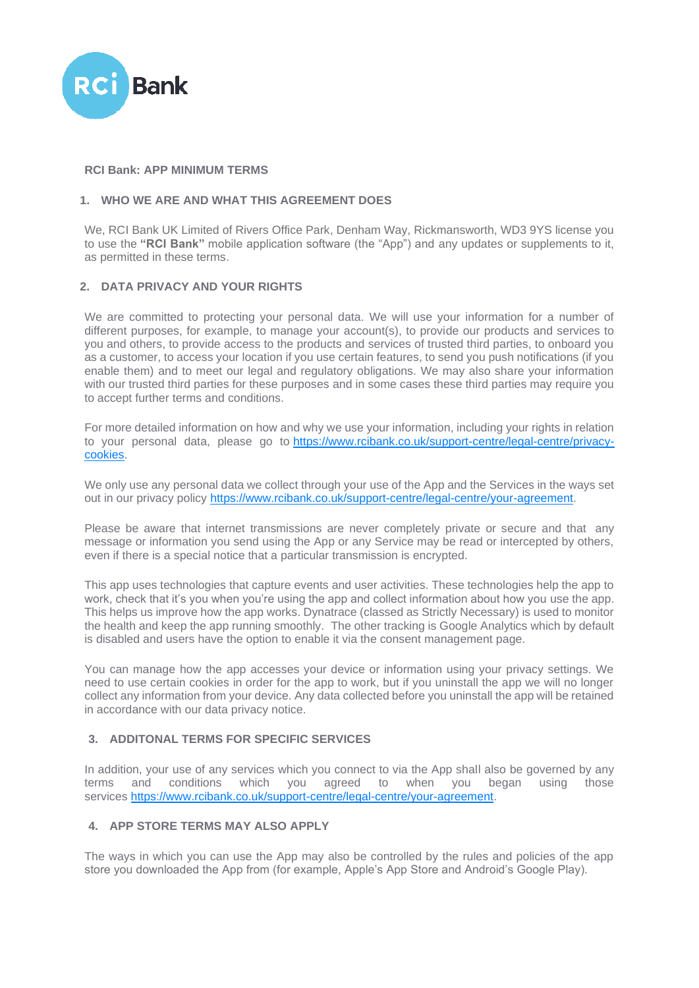

### **RCI Bank: APP MINIMUM TERMS**

# **1. WHO WE ARE AND WHAT THIS AGREEMENT DOES**

We, RCI Bank UK Limited of Rivers Office Park, Denham Way, Rickmansworth, WD3 9YS license you to use the **"RCI Bank"** mobile application software (the "App") and any updates or supplements to it, as permitted in these terms.

## **2. DATA PRIVACY AND YOUR RIGHTS**

We are committed to protecting your personal data. We will use your information for a number of different purposes, for example, to manage your account(s), to provide our products and services to you and others, to provide access to the products and services of trusted third parties, to onboard you as a customer, to access your location if you use certain features, to send you push notifications (if you enable them) and to meet our legal and regulatory obligations. We may also share your information with our trusted third parties for these purposes and in some cases these third parties may require you to accept further terms and conditions.

For more detailed information on how and why we use your information, including your rights in relation to your personal data, please go to [https://www.rcibank.co.uk/support-centre/legal-centre/privacy](https://www.rcibank.co.uk/support-centre/legal-centre/privacy-cookies)[cookies.](https://www.rcibank.co.uk/support-centre/legal-centre/privacy-cookies)

We only use any personal data we collect through your use of the App and the Services in the ways set out in our privacy policy [https://www.rcibank.co.uk/support-centre/legal-centre/your-agreement.](https://www.rcibank.co.uk/support-centre/legal-centre/your-agreement)

Please be aware that internet transmissions are never completely private or secure and that any message or information you send using the App or any Service may be read or intercepted by others, even if there is a special notice that a particular transmission is encrypted.

This app uses technologies that capture events and user activities. These technologies help the app to work, check that it's you when you're using the app and collect information about how you use the app. This helps us improve how the app works. Dynatrace (classed as Strictly Necessary) is used to monitor the health and keep the app running smoothly. The other tracking is Google Analytics which by default is disabled and users have the option to enable it via the consent management page.

You can manage how the app accesses your device or information using your privacy settings. We need to use certain cookies in order for the app to work, but if you uninstall the app we will no longer collect any information from your device. Any data collected before you uninstall the app will be retained in accordance with our data privacy notice.

# **3. ADDITONAL TERMS FOR SPECIFIC SERVICES**

In addition, your use of any services which you connect to via the App shall also be governed by any terms and conditions which you agreed to when you began using those services [https://www.rcibank.co.uk/support-centre/legal-centre/your-agreement.](https://www.rcibank.co.uk/support-centre/legal-centre/your-agreement)

### **4. APP STORE TERMS MAY ALSO APPLY**

The ways in which you can use the App may also be controlled by the rules and policies of the app store you downloaded the App from (for example, Apple's App Store and Android's Google Play).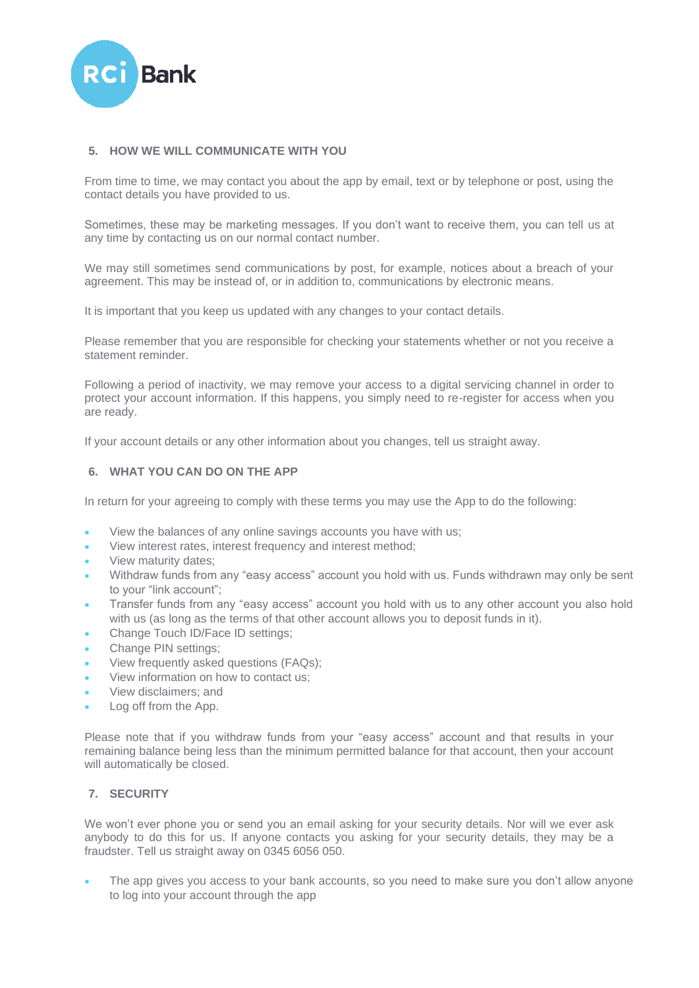

### **5. HOW WE WILL COMMUNICATE WITH YOU**

From time to time, we may contact you about the app by email, text or by telephone or post, using the contact details you have provided to us.

Sometimes, these may be marketing messages. If you don't want to receive them, you can tell us at any time by contacting us on our normal contact number.

We may still sometimes send communications by post, for example, notices about a breach of your agreement. This may be instead of, or in addition to, communications by electronic means.

It is important that you keep us updated with any changes to your contact details.

Please remember that you are responsible for checking your statements whether or not you receive a statement reminder.

Following a period of inactivity, we may remove your access to a digital servicing channel in order to protect your account information. If this happens, you simply need to re-register for access when you are ready.

If your account details or any other information about you changes, tell us straight away.

### **6. WHAT YOU CAN DO ON THE APP**

In return for your agreeing to comply with these terms you may use the App to do the following:

- View the balances of any online savings accounts you have with us;
- View interest rates, interest frequency and interest method;
- View maturity dates;
- Withdraw funds from any "easy access" account you hold with us. Funds withdrawn may only be sent to your "link account";
- Transfer funds from any "easy access" account you hold with us to any other account you also hold with us (as long as the terms of that other account allows you to deposit funds in it).
- Change Touch ID/Face ID settings;
- Change PIN settings;
- View frequently asked questions (FAQs);
- View information on how to contact us;
- View disclaimers; and
- Log off from the App.

Please note that if you withdraw funds from your "easy access" account and that results in your remaining balance being less than the minimum permitted balance for that account, then your account will automatically be closed.

### **7. SECURITY**

We won't ever phone you or send you an email asking for your security details. Nor will we ever ask anybody to do this for us. If anyone contacts you asking for your security details, they may be a fraudster. Tell us straight away on 0345 6056 050.

The app gives you access to your bank accounts, so you need to make sure you don't allow anyone to log into your account through the app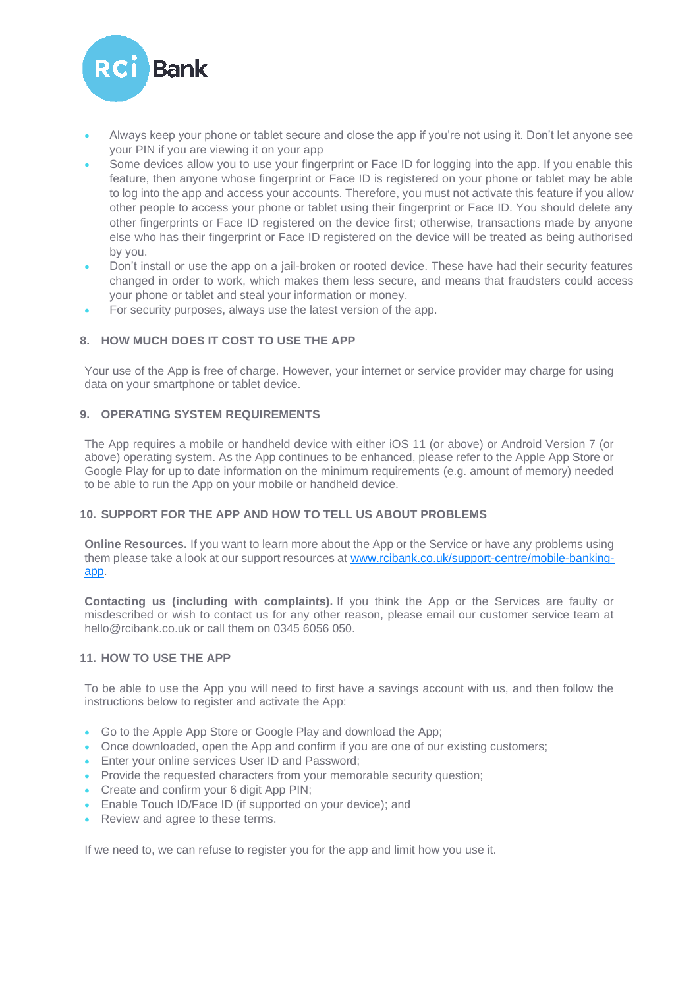

- Always keep your phone or tablet secure and close the app if you're not using it. Don't let anyone see your PIN if you are viewing it on your app
- Some devices allow you to use your fingerprint or Face ID for logging into the app. If you enable this feature, then anyone whose fingerprint or Face ID is registered on your phone or tablet may be able to log into the app and access your accounts. Therefore, you must not activate this feature if you allow other people to access your phone or tablet using their fingerprint or Face ID. You should delete any other fingerprints or Face ID registered on the device first; otherwise, transactions made by anyone else who has their fingerprint or Face ID registered on the device will be treated as being authorised by you.
- Don't install or use the app on a jail-broken or rooted device. These have had their security features changed in order to work, which makes them less secure, and means that fraudsters could access your phone or tablet and steal your information or money.
- For security purposes, always use the latest version of the app.

# **8. HOW MUCH DOES IT COST TO USE THE APP**

Your use of the App is free of charge. However, your internet or service provider may charge for using data on your smartphone or tablet device.

### **9. OPERATING SYSTEM REQUIREMENTS**

The App requires a mobile or handheld device with either iOS 11 (or above) or Android Version 7 (or above) operating system. As the App continues to be enhanced, please refer to the Apple App Store or Google Play for up to date information on the minimum requirements (e.g. amount of memory) needed to be able to run the App on your mobile or handheld device.

## **10. SUPPORT FOR THE APP AND HOW TO TELL US ABOUT PROBLEMS**

**Online Resources.** If you want to learn more about the App or the Service or have any problems using them please take a look at our support resources at [www.rcibank.co.uk/support-centre/mobile-banking](http://www.rcibank.co.uk/support-centre/mobile-banking-app)[app.](http://www.rcibank.co.uk/support-centre/mobile-banking-app)

**Contacting us (including with complaints).** If you think the App or the Services are faulty or misdescribed or wish to contact us for any other reason, please email our customer service team at hello@rcibank.co.uk or call them on 0345 6056 050.

#### **11. HOW TO USE THE APP**

To be able to use the App you will need to first have a savings account with us, and then follow the instructions below to register and activate the App:

- Go to the Apple App Store or Google Play and download the App;
- Once downloaded, open the App and confirm if you are one of our existing customers;
- Enter your online services User ID and Password:
- Provide the requested characters from your memorable security question;
- Create and confirm your 6 digit App PIN;
- Enable Touch ID/Face ID (if supported on your device); and
- Review and agree to these terms.

If we need to, we can refuse to register you for the app and limit how you use it.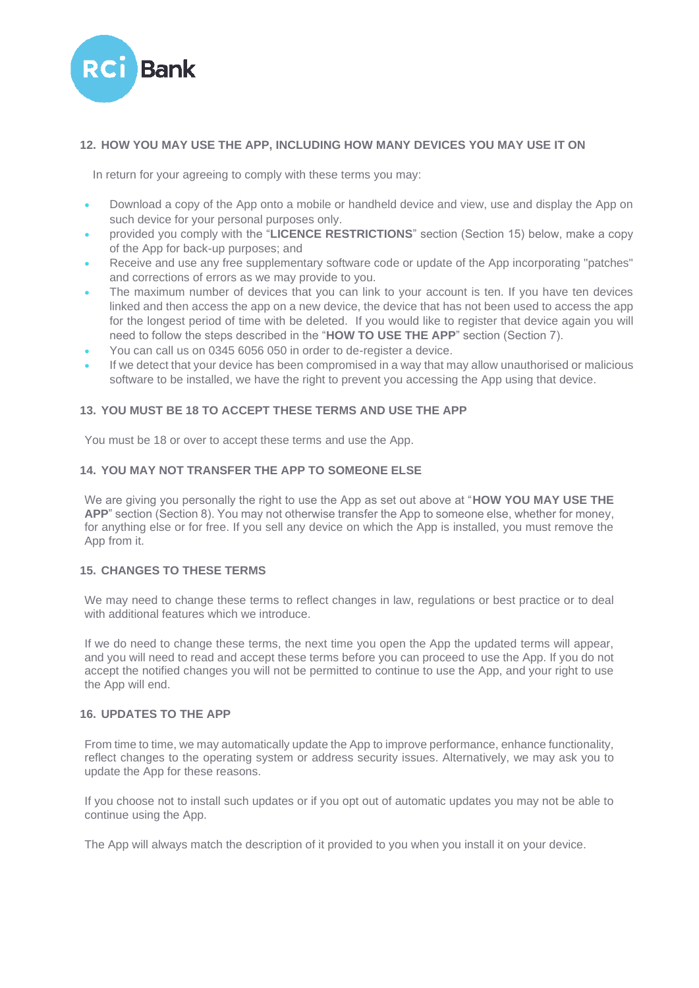

## **12. HOW YOU MAY USE THE APP, INCLUDING HOW MANY DEVICES YOU MAY USE IT ON**

In return for your agreeing to comply with these terms you may:

- Download a copy of the App onto a mobile or handheld device and view, use and display the App on such device for your personal purposes only.
- provided you comply with the "**LICENCE RESTRICTIONS**" section (Section 15) below, make a copy of the App for back-up purposes; and
- Receive and use any free supplementary software code or update of the App incorporating "patches" and corrections of errors as we may provide to you.
- The maximum number of devices that you can link to your account is ten. If you have ten devices linked and then access the app on a new device, the device that has not been used to access the app for the longest period of time with be deleted. If you would like to register that device again you will need to follow the steps described in the "**HOW TO USE THE APP**" section (Section 7).
- You can call us on 0345 6056 050 in order to de-register a device.
- If we detect that your device has been compromised in a way that may allow unauthorised or malicious software to be installed, we have the right to prevent you accessing the App using that device.

### **13. YOU MUST BE 18 TO ACCEPT THESE TERMS AND USE THE APP**

You must be 18 or over to accept these terms and use the App.

### **14. YOU MAY NOT TRANSFER THE APP TO SOMEONE ELSE**

We are giving you personally the right to use the App as set out above at "**HOW YOU MAY USE THE APP**" section (Section 8). You may not otherwise transfer the App to someone else, whether for money, for anything else or for free. If you sell any device on which the App is installed, you must remove the App from it.

### **15. CHANGES TO THESE TERMS**

We may need to change these terms to reflect changes in law, regulations or best practice or to deal with additional features which we introduce.

If we do need to change these terms, the next time you open the App the updated terms will appear, and you will need to read and accept these terms before you can proceed to use the App. If you do not accept the notified changes you will not be permitted to continue to use the App, and your right to use the App will end.

#### **16. UPDATES TO THE APP**

From time to time, we may automatically update the App to improve performance, enhance functionality, reflect changes to the operating system or address security issues. Alternatively, we may ask you to update the App for these reasons.

If you choose not to install such updates or if you opt out of automatic updates you may not be able to continue using the App.

The App will always match the description of it provided to you when you install it on your device.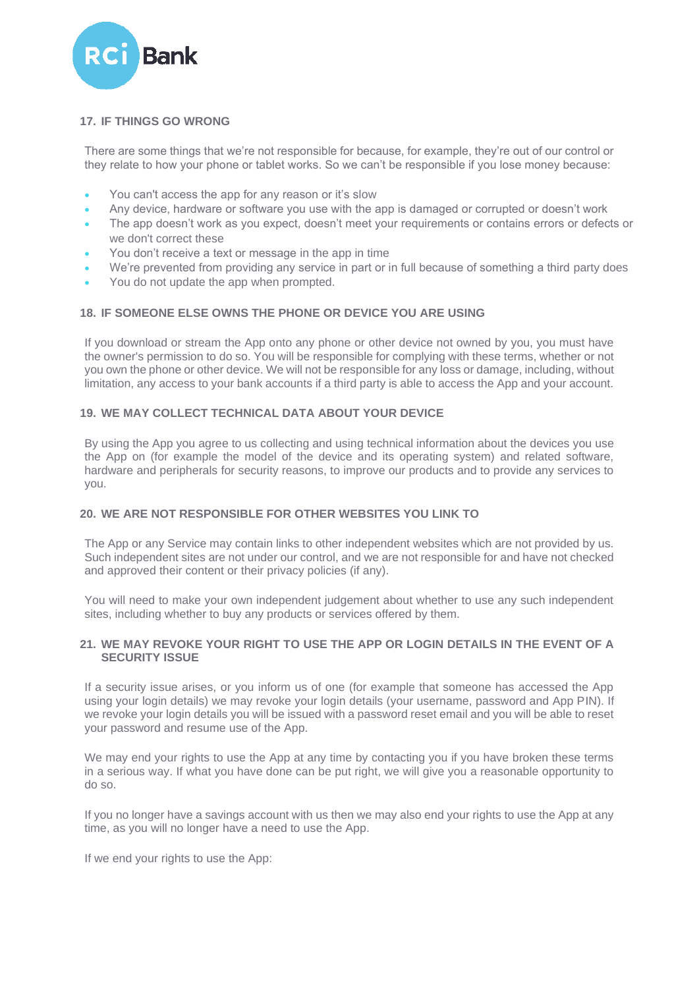

## **17. IF THINGS GO WRONG**

There are some things that we're not responsible for because, for example, they're out of our control or they relate to how your phone or tablet works. So we can't be responsible if you lose money because:

- You can't access the app for any reason or it's slow
- Any device, hardware or software you use with the app is damaged or corrupted or doesn't work
- The app doesn't work as you expect, doesn't meet your requirements or contains errors or defects or we don't correct these
- You don't receive a text or message in the app in time
- We're prevented from providing any service in part or in full because of something a third party does
- You do not update the app when prompted.

### **18. IF SOMEONE ELSE OWNS THE PHONE OR DEVICE YOU ARE USING**

If you download or stream the App onto any phone or other device not owned by you, you must have the owner's permission to do so. You will be responsible for complying with these terms, whether or not you own the phone or other device. We will not be responsible for any loss or damage, including, without limitation, any access to your bank accounts if a third party is able to access the App and your account.

## **19. WE MAY COLLECT TECHNICAL DATA ABOUT YOUR DEVICE**

By using the App you agree to us collecting and using technical information about the devices you use the App on (for example the model of the device and its operating system) and related software, hardware and peripherals for security reasons, to improve our products and to provide any services to you.

#### **20. WE ARE NOT RESPONSIBLE FOR OTHER WEBSITES YOU LINK TO**

The App or any Service may contain links to other independent websites which are not provided by us. Such independent sites are not under our control, and we are not responsible for and have not checked and approved their content or their privacy policies (if any).

You will need to make your own independent judgement about whether to use any such independent sites, including whether to buy any products or services offered by them.

### **21. WE MAY REVOKE YOUR RIGHT TO USE THE APP OR LOGIN DETAILS IN THE EVENT OF A SECURITY ISSUE**

If a security issue arises, or you inform us of one (for example that someone has accessed the App using your login details) we may revoke your login details (your username, password and App PIN). If we revoke your login details you will be issued with a password reset email and you will be able to reset your password and resume use of the App.

We may end your rights to use the App at any time by contacting you if you have broken these terms in a serious way. If what you have done can be put right, we will give you a reasonable opportunity to do so.

If you no longer have a savings account with us then we may also end your rights to use the App at any time, as you will no longer have a need to use the App.

If we end your rights to use the App: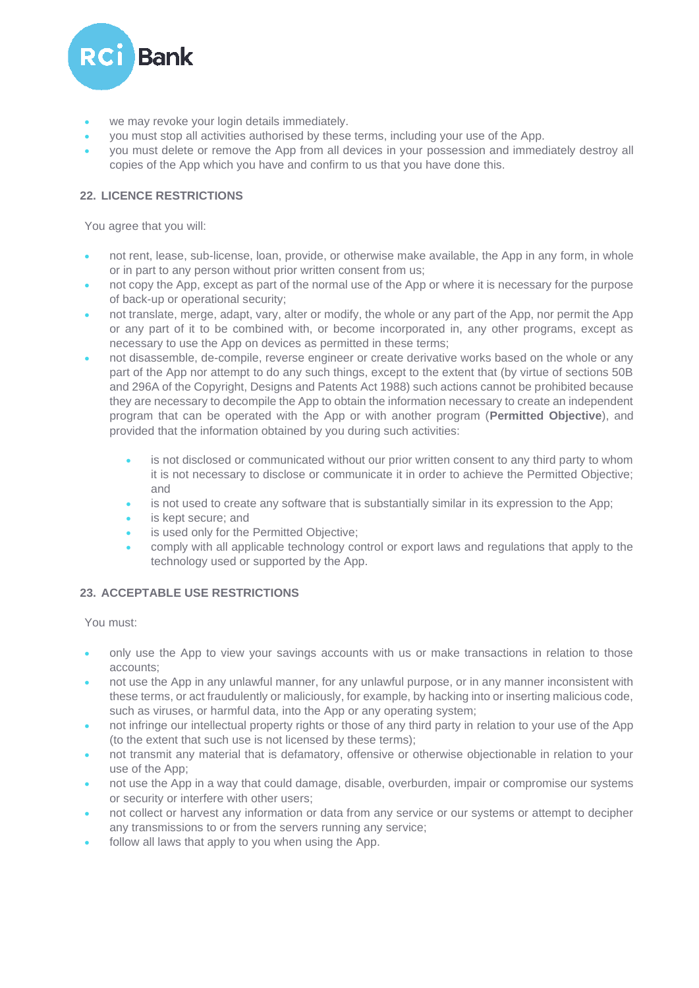

- we may revoke your login details immediately.
- you must stop all activities authorised by these terms, including your use of the App.
- you must delete or remove the App from all devices in your possession and immediately destroy all copies of the App which you have and confirm to us that you have done this.

## **22. LICENCE RESTRICTIONS**

You agree that you will:

- not rent, lease, sub-license, loan, provide, or otherwise make available, the App in any form, in whole or in part to any person without prior written consent from us;
- not copy the App, except as part of the normal use of the App or where it is necessary for the purpose of back-up or operational security;
- not translate, merge, adapt, vary, alter or modify, the whole or any part of the App, nor permit the App or any part of it to be combined with, or become incorporated in, any other programs, except as necessary to use the App on devices as permitted in these terms;
- not disassemble, de-compile, reverse engineer or create derivative works based on the whole or any part of the App nor attempt to do any such things, except to the extent that (by virtue of sections 50B and 296A of the Copyright, Designs and Patents Act 1988) such actions cannot be prohibited because they are necessary to decompile the App to obtain the information necessary to create an independent program that can be operated with the App or with another program (**Permitted Objective**), and provided that the information obtained by you during such activities:
	- is not disclosed or communicated without our prior written consent to any third party to whom it is not necessary to disclose or communicate it in order to achieve the Permitted Objective; and
	- is not used to create any software that is substantially similar in its expression to the App;
	- is kept secure; and
	- is used only for the Permitted Objective;
	- comply with all applicable technology control or export laws and regulations that apply to the technology used or supported by the App.

## **23. ACCEPTABLE USE RESTRICTIONS**

You must:

- only use the App to view your savings accounts with us or make transactions in relation to those accounts;
- not use the App in any unlawful manner, for any unlawful purpose, or in any manner inconsistent with these terms, or act fraudulently or maliciously, for example, by hacking into or inserting malicious code, such as viruses, or harmful data, into the App or any operating system;
- not infringe our intellectual property rights or those of any third party in relation to your use of the App (to the extent that such use is not licensed by these terms);
- not transmit any material that is defamatory, offensive or otherwise objectionable in relation to your use of the App;
- not use the App in a way that could damage, disable, overburden, impair or compromise our systems or security or interfere with other users;
- not collect or harvest any information or data from any service or our systems or attempt to decipher any transmissions to or from the servers running any service;
- follow all laws that apply to you when using the App.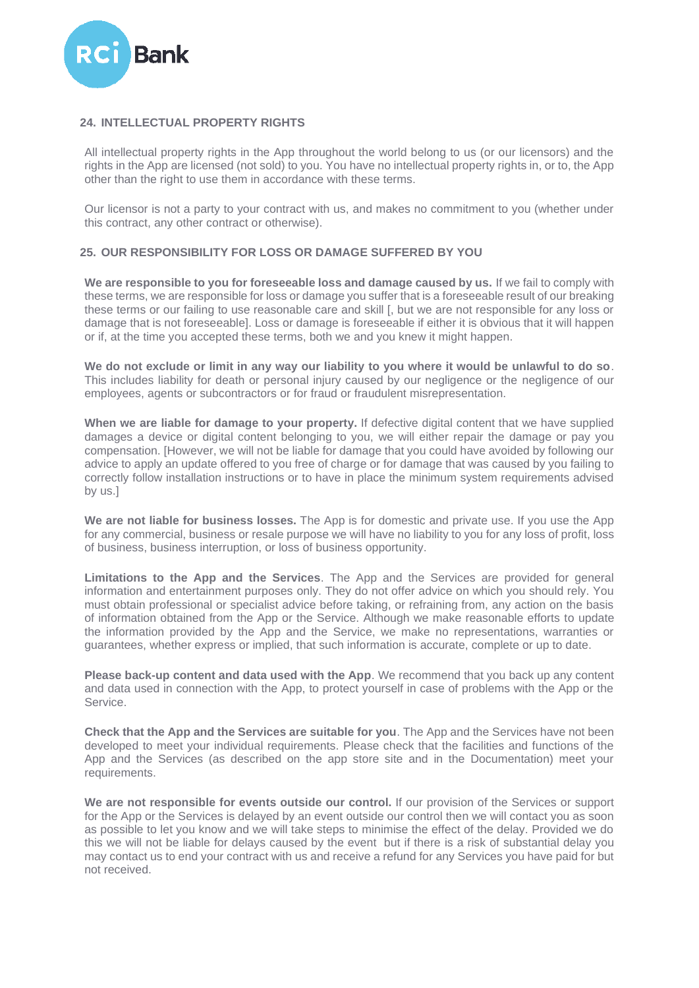

### **24. INTELLECTUAL PROPERTY RIGHTS**

All intellectual property rights in the App throughout the world belong to us (or our licensors) and the rights in the App are licensed (not sold) to you. You have no intellectual property rights in, or to, the App other than the right to use them in accordance with these terms.

Our licensor is not a party to your contract with us, and makes no commitment to you (whether under this contract, any other contract or otherwise).

#### **25. OUR RESPONSIBILITY FOR LOSS OR DAMAGE SUFFERED BY YOU**

**We are responsible to you for foreseeable loss and damage caused by us.** If we fail to comply with these terms, we are responsible for loss or damage you suffer that is a foreseeable result of our breaking these terms or our failing to use reasonable care and skill [, but we are not responsible for any loss or damage that is not foreseeable]. Loss or damage is foreseeable if either it is obvious that it will happen or if, at the time you accepted these terms, both we and you knew it might happen.

**We do not exclude or limit in any way our liability to you where it would be unlawful to do so**. This includes liability for death or personal injury caused by our negligence or the negligence of our employees, agents or subcontractors or for fraud or fraudulent misrepresentation.

**When we are liable for damage to your property.** If defective digital content that we have supplied damages a device or digital content belonging to you, we will either repair the damage or pay you compensation. [However, we will not be liable for damage that you could have avoided by following our advice to apply an update offered to you free of charge or for damage that was caused by you failing to correctly follow installation instructions or to have in place the minimum system requirements advised by us.]

**We are not liable for business losses.** The App is for domestic and private use. If you use the App for any commercial, business or resale purpose we will have no liability to you for any loss of profit, loss of business, business interruption, or loss of business opportunity.

**Limitations to the App and the Services**. The App and the Services are provided for general information and entertainment purposes only. They do not offer advice on which you should rely. You must obtain professional or specialist advice before taking, or refraining from, any action on the basis of information obtained from the App or the Service. Although we make reasonable efforts to update the information provided by the App and the Service, we make no representations, warranties or guarantees, whether express or implied, that such information is accurate, complete or up to date.

**Please back-up content and data used with the App**. We recommend that you back up any content and data used in connection with the App, to protect yourself in case of problems with the App or the Service.

**Check that the App and the Services are suitable for you**. The App and the Services have not been developed to meet your individual requirements. Please check that the facilities and functions of the App and the Services (as described on the app store site and in the Documentation) meet your requirements.

**We are not responsible for events outside our control.** If our provision of the Services or support for the App or the Services is delayed by an event outside our control then we will contact you as soon as possible to let you know and we will take steps to minimise the effect of the delay. Provided we do this we will not be liable for delays caused by the event but if there is a risk of substantial delay you may contact us to end your contract with us and receive a refund for any Services you have paid for but not received.